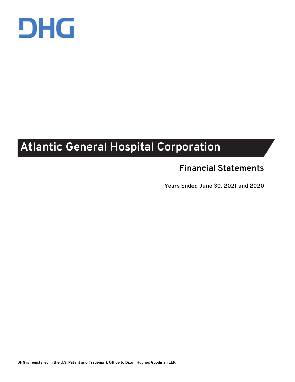

# **Atlantic General Hospital Corporation**

# **Financial Statements**

**Years Ended June 30, 2021 and 2020**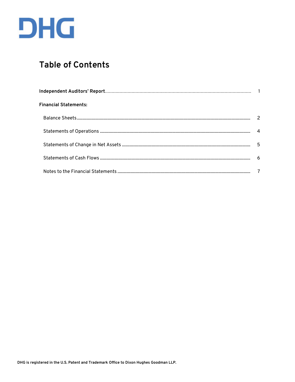

# **Table of Contents**

| <b>Financial Statements:</b> |    |
|------------------------------|----|
|                              |    |
|                              |    |
|                              | 5  |
|                              | -6 |
|                              |    |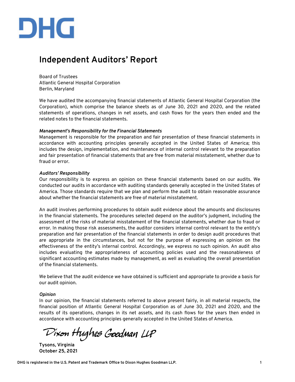

# **Independent Auditors' Report**

Board of Trustees Atlantic General Hospital Corporation Berlin, Maryland

We have audited the accompanying financial statements of Atlantic General Hospital Corporation (the Corporation), which comprise the balance sheets as of June 30, 2021 and 2020, and the related statements of operations, changes in net assets, and cash flows for the years then ended and the related notes to the financial statements.

#### *Management's Responsibility for the Financial Statements*

Management is responsible for the preparation and fair presentation of these financial statements in accordance with accounting principles generally accepted in the United States of America; this includes the design, implementation, and maintenance of internal control relevant to the preparation and fair presentation of financial statements that are free from material misstatement, whether due to fraud or error.

#### *Auditors' Responsibility*

Our responsibility is to express an opinion on these financial statements based on our audits. We conducted our audits in accordance with auditing standards generally accepted in the United States of America. Those standards require that we plan and perform the audit to obtain reasonable assurance about whether the financial statements are free of material misstatement.

An audit involves performing procedures to obtain audit evidence about the amounts and disclosures in the financial statements. The procedures selected depend on the auditor's judgment, including the assessment of the risks of material misstatement of the financial statements, whether due to fraud or error. In making those risk assessments, the auditor considers internal control relevant to the entity's preparation and fair presentation of the financial statements in order to design audit procedures that are appropriate in the circumstances, but not for the purpose of expressing an opinion on the effectiveness of the entity's internal control. Accordingly, we express no such opinion. An audit also includes evaluating the appropriateness of accounting policies used and the reasonableness of significant accounting estimates made by management, as well as evaluating the overall presentation of the financial statements.

We believe that the audit evidence we have obtained is sufficient and appropriate to provide a basis for our audit opinion.

#### *Opinion*

In our opinion, the financial statements referred to above present fairly, in all material respects, the financial position of Atlantic General Hospital Corporation as of June 30, 2021 and 2020, and the results of its operations, changes in its net assets, and its cash flows for the years then ended in accordance with accounting principles generally accepted in the United States of America.

Dixon Hughes Goodman LLP

**Tysons, Virginia October 25, 2021**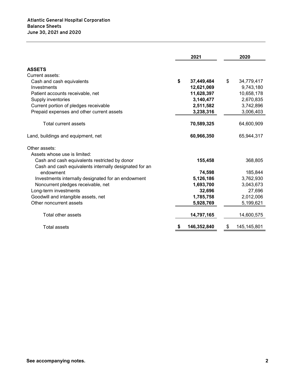|                                                        | 2021 |             | 2020 |             |
|--------------------------------------------------------|------|-------------|------|-------------|
| <b>ASSETS</b>                                          |      |             |      |             |
| Current assets:                                        |      |             |      |             |
| Cash and cash equivalents                              | \$   | 37,449,484  | \$   | 34,779,417  |
| Investments                                            |      | 12,621,069  |      | 9,743,180   |
| Patient accounts receivable, net                       |      | 11,628,397  |      | 10,658,178  |
| Supply inventories                                     |      | 3,140,477   |      | 2,670,835   |
| Current portion of pledges receivable                  |      | 2,511,582   |      | 3,742,896   |
| Prepaid expenses and other current assets              |      | 3,238,316   |      | 3,006,403   |
|                                                        |      |             |      |             |
| Total current assets                                   |      | 70,589,325  |      | 64,600,909  |
| Land, buildings and equipment, net                     |      | 60,966,350  |      | 65,944,317  |
| Other assets:                                          |      |             |      |             |
| Assets whose use is limited:                           |      |             |      |             |
| Cash and cash equivalents restricted by donor          |      | 155,458     |      | 368,805     |
| Cash and cash equivalents internally designated for an |      |             |      |             |
| endowment                                              |      | 74,598      |      | 185,844     |
| Investments internally designated for an endowment     |      | 5,126,186   |      | 3,762,930   |
| Noncurrent pledges receivable, net                     |      | 1,693,700   |      | 3,043,673   |
| Long-term investments                                  |      | 32,696      |      | 27,696      |
| Goodwill and intangible assets, net                    |      | 1,785,758   |      | 2,012,006   |
| Other noncurrent assets                                |      | 5,928,769   |      | 5,199,621   |
| Total other assets                                     |      | 14,797,165  |      | 14,600,575  |
| <b>Total assets</b>                                    |      | 146,352,840 | £.   | 145,145,801 |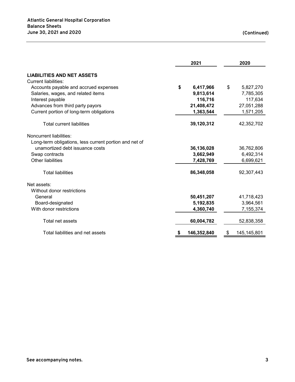|                                                                                                                                                                                                                                                     | 2021                                                               | 2020                                                               |  |
|-----------------------------------------------------------------------------------------------------------------------------------------------------------------------------------------------------------------------------------------------------|--------------------------------------------------------------------|--------------------------------------------------------------------|--|
| <b>LIABILITIES AND NET ASSETS</b><br><b>Current liabilities:</b><br>Accounts payable and accrued expenses<br>Salaries, wages, and related items<br>Interest payable<br>Advances from third party payors<br>Current portion of long-term obligations | \$<br>6,417,966<br>9,813,614<br>116,716<br>21,408,472<br>1,363,544 | \$<br>5,827,270<br>7,785,305<br>117,634<br>27,051,288<br>1,571,205 |  |
| <b>Total current liabilities</b>                                                                                                                                                                                                                    | 39,120,312                                                         | 42,352,702                                                         |  |
| Noncurrent liabilities:<br>Long-term obligations, less current portion and net of<br>unamortized debt issuance costs<br>Swap contracts<br><b>Other liabilities</b>                                                                                  | 36,136,028<br>3,662,949<br>7,428,769                               | 36,762,806<br>6,492,314<br>6,699,621                               |  |
| <b>Total liabilities</b>                                                                                                                                                                                                                            | 86,348,058                                                         | 92,307,443                                                         |  |
| Net assets:<br>Without donor restrictions<br>General<br>Board-designated<br>With donor restrictions                                                                                                                                                 | 50,451,207<br>5,192,835<br>4,360,740                               | 41,718,423<br>3,964,561<br>7,155,374                               |  |
| Total net assets                                                                                                                                                                                                                                    | 60,004,782                                                         | 52,838,358                                                         |  |
| Total liabilities and net assets                                                                                                                                                                                                                    | 146,352,840                                                        | 145, 145, 801                                                      |  |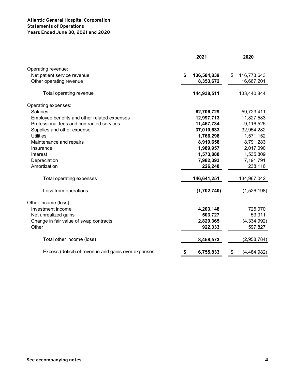|                                                                                                                                     | 2021                                                                                   | 2020                                                                                   |
|-------------------------------------------------------------------------------------------------------------------------------------|----------------------------------------------------------------------------------------|----------------------------------------------------------------------------------------|
| Operating revenue:<br>Net patient service revenue<br>Other operating revenue                                                        | 136,584,839<br>S<br>8,353,672                                                          | 116,773,643<br>\$<br>16,667,201                                                        |
| Total operating revenue                                                                                                             | 144,938,511                                                                            | 133,440,844                                                                            |
| Operating expenses:<br><b>Salaries</b><br>Employee benefits and other related expenses<br>Professional fees and contracted services | 62,706,729<br>12,997,713<br>11,467,734                                                 | 59,723,411<br>11,827,583<br>9,116,525                                                  |
| Supplies and other expense<br><b>Utilities</b><br>Maintenance and repairs<br>Insurance<br>Interest<br>Depreciation<br>Amortization  | 37,010,633<br>1,766,298<br>8,919,658<br>1,989,957<br>1,573,888<br>7,982,393<br>226,248 | 32,954,282<br>1,571,152<br>8,791,283<br>2,017,090<br>1,535,809<br>7,191,791<br>238,116 |
| Total operating expenses                                                                                                            | 146,641,251                                                                            | 134,967,042                                                                            |
| Loss from operations                                                                                                                | (1,702,740)                                                                            | (1,526,198)                                                                            |
| Other income (loss):<br>Investment income<br>Net unrealized gains<br>Change in fair value of swap contracts<br>Other                | 4,203,148<br>503,727<br>2,829,365<br>922,333                                           | 725,070<br>53,311<br>(4,334,992)<br>597,827                                            |
| Total other income (loss)                                                                                                           | 8,458,573                                                                              | (2,958,784)                                                                            |
| Excess (deficit) of revenue and gains over expenses                                                                                 | 6,755,833<br>\$                                                                        | (4,484,982)<br>\$                                                                      |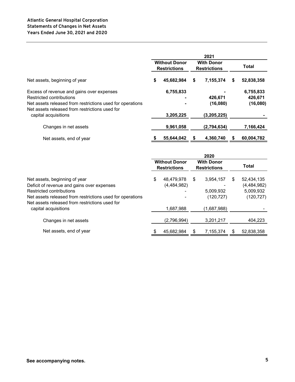|                                                                                                             |                                             | 2021                                     |                  |
|-------------------------------------------------------------------------------------------------------------|---------------------------------------------|------------------------------------------|------------------|
|                                                                                                             | <b>Without Donor</b><br><b>Restrictions</b> | <b>With Donor</b><br><b>Restrictions</b> | <b>Total</b>     |
| Net assets, beginning of year                                                                               | \$<br>45,682,984                            | \$<br>7,155,374                          | \$<br>52,838,358 |
| Excess of revenue and gains over expenses                                                                   | 6,755,833                                   |                                          | 6,755,833        |
| Restricted contributions                                                                                    |                                             | 426,671                                  | 426,671          |
| Net assets released from restrictions used for operations<br>Net assets released from restrictions used for |                                             | (16,080)                                 | (16,080)         |
| capital acquisitions                                                                                        | 3,205,225                                   | (3,205,225)                              |                  |
| Changes in net assets                                                                                       | 9,961,058                                   | (2,794,634)                              | 7,166,424        |
| Net assets, end of year                                                                                     | 55,644,042                                  | 4,360,740                                | 60,004,782       |

|                                                                                                             |                                             |    | 2020                                     |                  |
|-------------------------------------------------------------------------------------------------------------|---------------------------------------------|----|------------------------------------------|------------------|
|                                                                                                             | <b>Without Donor</b><br><b>Restrictions</b> |    | <b>With Donor</b><br><b>Restrictions</b> | <b>Total</b>     |
| Net assets, beginning of year                                                                               | \$<br>48,479,978                            | \$ | 3,954,157                                | \$<br>52,434,135 |
| Deficit of revenue and gains over expenses                                                                  | (4,484,982)                                 |    |                                          | (4,484,982)      |
| Restricted contributions                                                                                    |                                             |    | 5,009,932                                | 5,009,932        |
| Net assets released from restrictions used for operations<br>Net assets released from restrictions used for |                                             |    | (120, 727)                               | (120, 727)       |
| capital acquisitions                                                                                        | 1,687,988                                   |    | (1,687,988)                              |                  |
| Changes in net assets                                                                                       | (2,796,994)                                 |    | 3,201,217                                | 404,223          |
| Net assets, end of year                                                                                     | 45.682.984                                  | S  | 7,155,374                                | \$<br>52,838,358 |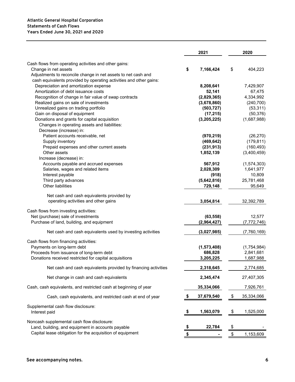|                                                                                                 | 2021 |             | 2020 |               |
|-------------------------------------------------------------------------------------------------|------|-------------|------|---------------|
| Cash flows from operating activities and other gains:                                           |      |             |      |               |
| Change in net assets                                                                            | \$   | 7,166,424   | \$   | 404,223       |
| Adjustments to reconcile change in net assets to net cash and                                   |      |             |      |               |
| cash equivalents provided by operating activities and other gains:                              |      |             |      |               |
| Depreciation and amortization expense                                                           |      | 8,208,641   |      | 7,429,907     |
| Amortization of debt issuance costs                                                             |      | 52,141      |      | 67,475        |
| Recognition of change in fair value of swap contracts                                           |      | (2,829,365) |      | 4,334,992     |
| Realized gains on sale of investments                                                           |      | (3,678,860) |      | (240, 700)    |
| Unrealized gains on trading portfolio                                                           |      | (503, 727)  |      | (53, 311)     |
| Gain on disposal of equipment                                                                   |      | (17, 215)   |      | (50, 376)     |
| Donations and grants for capital acquisition                                                    |      | (3,205,225) |      | (1,687,988)   |
| Changes in operating assets and liabilities:                                                    |      |             |      |               |
| Decrease (increase) in:                                                                         |      |             |      |               |
| Patient accounts receivable, net                                                                |      | (970, 219)  |      | (26, 270)     |
| Supply inventory                                                                                |      | (469, 642)  |      | (179, 811)    |
| Prepaid expenses and other current assets                                                       |      | (231, 913)  |      | (160, 493)    |
| Other assets                                                                                    |      | 1,852,139   |      | (3,400,459)   |
| Increase (decrease) in:                                                                         |      |             |      |               |
| Accounts payable and accrued expenses                                                           |      | 567,912     |      | (1,574,303)   |
| Salaries, wages and related items                                                               |      | 2,028,309   |      | 1,641,977     |
| Interest payable                                                                                |      | (918)       |      | 10,809        |
| Third party advances                                                                            |      | (5,642,816) |      | 25,781,468    |
| Other liabilities                                                                               |      | 729,148     |      | 95,649        |
| Net cash and cash equivalents provided by                                                       |      |             |      |               |
| operating activities and other gains                                                            |      | 3,054,814   |      | 32,392,789    |
| Cash flows from investing activities:                                                           |      |             |      |               |
| Net (purchase) sale of investments                                                              |      | (63, 558)   |      | 12,577        |
| Purchase of land, building, and equipment                                                       |      | (2,964,427) |      | (7, 772, 746) |
| Net cash and cash equivalents used by investing activities                                      |      | (3,027,985) |      | (7,760,169)   |
| Cash flows from financing activities:                                                           |      |             |      |               |
| Payments on long-term debt                                                                      |      | (1,573,408) |      | (1,754,984)   |
| Proceeds from issuance of long-term debt                                                        |      | 686,828     |      | 2,841,681     |
| Donations received restricted for capital acquisitions                                          |      | 3,205,225   |      | 1,687,988     |
| Net cash and cash equivalents provided by financing activities                                  |      | 2,318,645   |      | 2,774,685     |
| Net change in cash and cash equivalents                                                         |      | 2,345,474   |      | 27,407,305    |
| Cash, cash equivalents, and restricted cash at beginning of year                                |      | 35,334,066  |      | 7,926,761     |
| Cash, cash equivalents, and restricted cash at end of year                                      | -S   | 37,679,540  | \$   | 35,334,066    |
| Supplemental cash flow disclosure:<br>Interest paid                                             | \$   | 1,563,079   | \$   | 1,525,000     |
| Noncash supplemental cash flow disclosure:<br>Land, building, and equipment in accounts payable | \$   | 22,784      | \$   |               |
| Capital lease obligation for the acquisition of equipment                                       |      |             |      |               |
|                                                                                                 | \$   |             | \$   | 1,153,609     |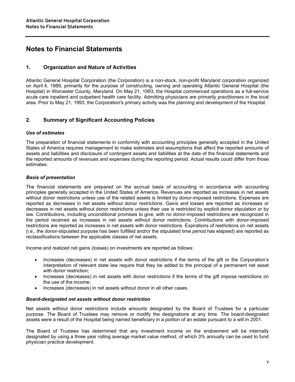# **Notes to Financial Statements**

# **1. Organization and Nature of Activities**

Atlantic General Hospital Corporation (the Corporation) is a non-stock, non-profit Maryland corporation organized on April 4, 1989, primarily for the purpose of constructing, owning and operating Atlantic General Hospital (the Hospital) in Worcester County, Maryland. On May 21, 1993, the Hospital commenced operations as a full-service acute care inpatient and outpatient health care facility. Admitting physicians are primarily practitioners in the local area. Prior to May 21, 1993, the Corporation's primary activity was the planning and development of the Hospital.

# **2. Summary of Significant Accounting Policies**

#### *Use of estimates*

The preparation of financial statements in conformity with accounting principles generally accepted in the United States of America requires management to make estimates and assumptions that affect the reported amounts of assets and liabilities and disclosure of contingent assets and liabilities at the date of the financial statements and the reported amounts of revenues and expenses during the reporting period. Actual results could differ from those estimates.

#### *Basis of presentation*

The financial statements are prepared on the accrual basis of accounting in accordance with accounting principles generally accepted in the United States of America. Revenues are reported as increases in net assets without donor restrictions unless use of the related assets is limited by donor-imposed restrictions. Expenses are reported as decreases in net assets without donor restrictions. Gains and losses are reported as increases or decreases in net assets without donor restrictions unless their use is restricted by explicit donor stipulation or by law. Contributions, including unconditional promises to give, with no donor-imposed restrictions are recognized in the period received as increases in net assets without donor restrictions. Contributions with donor-imposed restrictions are reported as increases in net assets with donor restrictions. Expirations of restrictions on net assets (i.e., the donor-stipulated purpose has been fulfilled and/or the stipulated time period has elapsed) are reported as reclassifications between the applicable classes of net assets.

Income and realized net gains (losses) on investments are reported as follows:

- Increases (decreases) in net assets with donor restrictions if the terms of the gift or the Corporation's interpretation of relevant state law require that they be added to the principal of a permanent net asset with donor restriction;
- Increases (decreases) in net assets with donor restrictions if the terms of the gift impose restrictions on the use of the income;
- Increases (decreases) in net assets without donor in all other cases.

#### *Board-designated net assets without donor restriction*

Net assets without donor restrictions include amounts designated by the Board of Trustees for a particular purpose. The Board of Trustees may remove or modify the designations at any time. The board-designated assets were a result of the Hospital being named beneficiary in a portion of an estate pursuant to a will in 2001.

The Board of Trustees has determined that any investment income on the endowment will be internally designated by using a three year rolling average market value method, of which 3% annually can be used to fund physician practice development.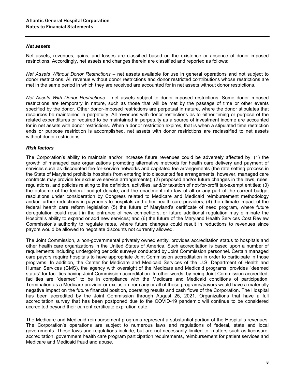#### *Net assets*

Net assets, revenues, gains, and losses are classified based on the existence or absence of donor-imposed restrictions. Accordingly, net assets and changes therein are classified and reported as follows:

*Net Assets Without Donor Restrictions* – net assets available for use in general operations and not subject to donor restrictions. All revenue without donor restrictions and donor restricted contributions whose restrictions are met in the same period in which they are received are accounted for in net assets without donor restrictions.

*Net Assets With Donor Restrictions* – net assets subject to donor-imposed restrictions. Some donor-imposed restrictions are temporary in nature, such as those that will be met by the passage of time or other events specified by the donor. Other donor-imposed restrictions are perpetual in nature, where the donor stipulates that resources be maintained in perpetuity. All revenues with donor restrictions as to either timing or purpose of the related expenditures or required to be maintained in perpetuity as a source of investment income are accounted for in net assets with donor restrictions. When a donor restriction expires, that is when a stipulated time restriction ends or purpose restriction is accomplished, net assets with donor restrictions are reclassified to net assets without donor restrictions.

#### *Risk factors*

The Corporation's ability to maintain and/or increase future revenues could be adversely affected by: (1) the growth of managed care organizations promoting alternative methods for health care delivery and payment of services such as discounted fee-for-service networks and capitated fee arrangements (the rate setting process in the State of Maryland prohibits hospitals from entering into discounted fee arrangements, however, managed care contracts may provide for exclusive service arrangements); (2) proposed and/or future changes in the laws, rules, regulations, and policies relating to the definition, activities, and/or taxation of not-for-profit tax-exempt entities; (3) the outcome of the federal budget debate, and the enactment into law of all or any part of the current budget resolutions under consideration by Congress related to Medicare and Medicaid reimbursement methodology and/or further reductions in payments to hospitals and other health care providers; (4) the ultimate impact of the federal health care reform legislation (5) the future of Maryland's certificate of need program, where future deregulation could result in the entrance of new competitors, or future additional regulation may eliminate the Hospital's ability to expand or add new services; and (6) the future of the Maryland Health Services Cost Review Commission's authority to regulate rates, where future changes could result in reductions to revenues since payors would be allowed to negotiate discounts not currently allowed.

The Joint Commission, a non-governmental privately owned entity, provides accreditation status to hospitals and other health care organizations in the United States of America. Such accreditation is based upon a number of requirements including undergoing periodic surveys conducted by Joint Commission personnel. Certain managed care payors require hospitals to have appropriate Joint Commission accreditation in order to participate in those programs. In addition, the Center for Medicare and Medicaid Services of the U.S. Department of Health and Human Services (CMS), the agency with oversight of the Medicare and Medicaid programs, provides "deemed status" for facilities having Joint Commission accreditation. In other words, by being Joint Commission accredited, facilities are "deemed" to be in compliance with the Medicare and Medicaid conditions of participation. Termination as a Medicare provider or exclusion from any or all of these programs/payors would have a materially negative impact on the future financial position, operating results and cash flows of the Corporation. The Hospital has been accredited by the Joint Commission through August 25, 2021. Organizations that have a full accreditation survey that has been postponed due to the COVID-19 pandemic will continue to be considered accredited beyond their current certificate expiration date.

The Medicare and Medicaid reimbursement programs represent a substantial portion of the Hospital's revenues. The Corporation's operations are subject to numerous laws and regulations of federal, state and local governments. These laws and regulations include, but are not necessarily limited to, matters such as licensure, accreditation, government health care program participation requirements, reimbursement for patient services and Medicare and Medicaid fraud and abuse.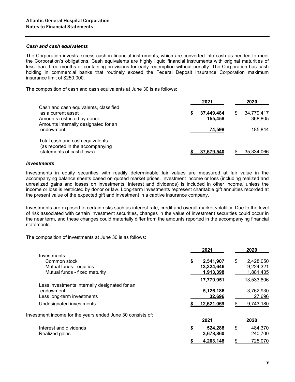#### *Cash and cash equivalents*

The Corporation invests excess cash in financial instruments, which are converted into cash as needed to meet the Corporation's obligations. Cash equivalents are highly liquid financial instruments with original maturities of less than three months or containing provisions for early redemption without penalty. The Corporation has cash holding in commercial banks that routinely exceed the Federal Deposit Insurance Corporation maximum insurance limit of \$250,000.

The composition of cash and cash equivalents at June 30 is as follows:

|                                                                     | 2021       | 2020              |
|---------------------------------------------------------------------|------------|-------------------|
| Cash and cash equivalents, classified<br>as a current asset         | 37,449,484 | 34,779,417<br>\$  |
| Amounts restricted by donor<br>Amounts internally designated for an | 155,458    | 368,805           |
| endowment                                                           | 74.598     | 185.844           |
| Total cash and cash equivalents<br>(as reported in the accompanying |            |                   |
| statements of cash flows)                                           | 37.679.540 | <u>35,334,066</u> |

#### *Investments*

Investments in equity securities with readily determinable fair values are measured at fair value in the accompanying balance sheets based on quoted market prices. Investment income or loss (including realized and unrealized gains and losses on investments, interest and dividends) is included in other income, unless the income or loss is restricted by donor or law. Long-term investments represent charitable gift annuities recorded at the present value of the expected gift and investment in a captive insurance company.

Investments are exposed to certain risks such as interest rate, credit and overall market volatility. Due to the level of risk associated with certain investment securities, changes in the value of investment securities could occur in the near term, and these changes could materially differ from the amounts reported in the accompanying financial statements.

The composition of investments at June 30 is as follows:

|                                                                                                                      | 2021                                       |    | 2020                                |
|----------------------------------------------------------------------------------------------------------------------|--------------------------------------------|----|-------------------------------------|
| Investments:<br>Common stock<br>Mutual funds - equities<br>Mutual funds - fixed maturity                             | \$<br>2,541,907<br>13,324,646<br>1,913,398 | \$ | 2,428,050<br>9,224,321<br>1,881,435 |
|                                                                                                                      | 17,779,951                                 |    | 13,533,806                          |
| Less investments internally designated for an<br>endowment<br>Less long-term investments<br>Undesignated investments | 5,126,186<br>32,696<br>12.621.069          | S  | 3,762,930<br>27,696<br>9,743,180    |
| Investment income for the years ended June 30 consists of:                                                           |                                            |    |                                     |
|                                                                                                                      | 2021                                       |    | 2020                                |
| Interest and dividends<br>Realized gains                                                                             | \$<br>524,288<br>3,678,860                 | \$ | 484,370<br>240,700                  |
|                                                                                                                      | 4.203.148                                  | S. | 725,070                             |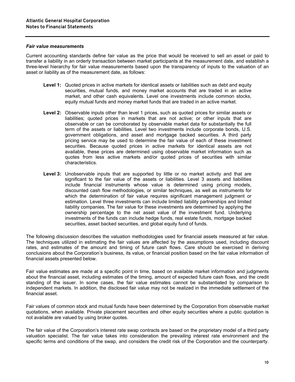#### *Fair value measurements*

Current accounting standards define fair value as the price that would be received to sell an asset or paid to transfer a liability in an orderly transaction between market participants at the measurement date, and establish a three-level hierarchy for fair value measurements based upon the transparency of inputs to the valuation of an asset or liability as of the measurement date, as follows:

- **Level 1:** Quoted prices in active markets for identical assets or liabilities such as debt and equity securities, mutual funds, and money market accounts that are traded in an active market, and other cash equivalents. Level one investments include common stocks, equity mutual funds and money market funds that are traded in an active market.
- **Level 2:** Observable inputs other than level 1 prices, such as quoted prices for similar assets or liabilities; quoted prices in markets that are not active; or other inputs that are observable or can be corroborated by observable market data for substantially the full term of the assets or liabilities. Level two investments include corporate bonds, U.S. government obligations, and asset and mortgage backed securities. A third party pricing service may be used to determine the fair value of each of these investment securities. Because quoted prices in active markets for identical assets are not available, these prices are determined using observable market information such as quotes from less active markets and/or quoted prices of securities with similar characteristics.
- Level 3: Unobservable inputs that are supported by little or no market activity and that are significant to the fair value of the assets or liabilities. Level 3 assets and liabilities include financial instruments whose value is determined using pricing models, discounted cash flow methodologies, or similar techniques, as well as instruments for which the determination of fair value requires significant management judgment or estimation. Level three investments can include limited liability partnerships and limited liability companies. The fair value for these investments are determined by applying the ownership percentage to the net asset value of the investment fund. Underlying investments of the funds can include hedge funds, real estate funds, mortgage backed securities, asset backed securities, and global equity fund of funds.

The following discussion describes the valuation methodologies used for financial assets measured at fair value. The techniques utilized in estimating the fair values are affected by the assumptions used, including discount rates, and estimates of the amount and timing of future cash flows. Care should be exercised in deriving conclusions about the Corporation's business, its value, or financial position based on the fair value information of financial assets presented below.

Fair value estimates are made at a specific point in time, based on available market information and judgments about the financial asset, including estimates of the timing, amount of expected future cash flows, and the credit standing of the issuer. In some cases, the fair value estimates cannot be substantiated by comparison to independent markets. In addition, the disclosed fair value may not be realized in the immediate settlement of the financial asset.

Fair values of common stock and mutual funds have been determined by the Corporation from observable market quotations, when available. Private placement securities and other equity securities where a public quotation is not available are valued by using broker quotes.

The fair value of the Corporation's interest rate swap contracts are based on the proprietary model of a third party valuation specialist. The fair value takes into consideration the prevailing interest rate environment and the specific terms and conditions of the swap, and considers the credit risk of the Corporation and the counterparty.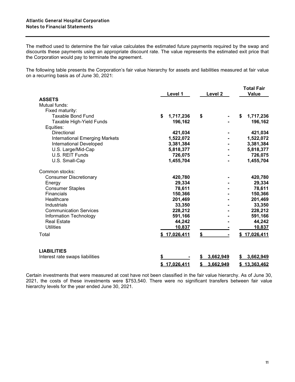The method used to determine the fair value calculates the estimated future payments required by the swap and discounts these payments using an appropriate discount rate. The value represents the estimated exit price that the Corporation would pay to terminate the agreement.

The following table presents the Corporation's fair value hierarchy for assets and liabilities measured at fair value on a recurring basis as of June 30, 2021:

|                                                       | Level 1         | Level 2         | <b>Total Fair</b><br><b>Value</b> |
|-------------------------------------------------------|-----------------|-----------------|-----------------------------------|
| <b>ASSETS</b>                                         |                 |                 |                                   |
| Mutual funds:                                         |                 |                 |                                   |
| Fixed maturity:                                       |                 |                 |                                   |
| Taxable Bond Fund                                     | \$<br>1,717,236 | \$              | \$<br>1,717,236                   |
| Taxable High-Yield Funds                              | 196,162         |                 | 196,162                           |
| Equities:                                             |                 |                 |                                   |
| Directional                                           | 421,034         |                 | 421,034                           |
| <b>International Emerging Markets</b>                 | 1,522,072       |                 | 1,522,072                         |
| <b>International Developed</b>                        | 3,381,384       |                 | 3,381,384                         |
| U.S. Large/Mid-Cap                                    | 5,818,377       |                 | 5,818,377                         |
| U.S. REIT Funds                                       | 726,075         |                 | 726,075                           |
| U.S. Small-Cap                                        | 1,455,704       |                 | 1,455,704                         |
| Common stocks:                                        |                 |                 |                                   |
| <b>Consumer Discretionary</b>                         | 420,780         |                 | 420,780                           |
| Energy                                                | 29,334          |                 | 29,334                            |
| <b>Consumer Staples</b>                               | 78,611          |                 | 78,611                            |
| <b>Financials</b>                                     | 150,366         |                 | 150,366                           |
| Healthcare                                            | 201,469         |                 | 201,469                           |
| Industrials                                           | 33,350          |                 | 33,350                            |
| <b>Communication Services</b>                         | 228,212         |                 | 228,212                           |
| Information Technology                                | 591,166         |                 | 591,166                           |
| <b>Real Estate</b>                                    | 44,242          |                 | 44,242                            |
| <b>Utilities</b>                                      | 10,837          |                 | 10,837                            |
| Total                                                 | \$17,026,411    |                 | \$17,026,411                      |
|                                                       |                 |                 |                                   |
| <b>LIABILITIES</b><br>Interest rate swaps liabilities |                 | 3,662,949<br>\$ | 3,662,949<br>\$                   |
|                                                       | \$17,026,411    | 3,662,949       | \$13,363,462                      |
|                                                       |                 |                 |                                   |

Certain investments that were measured at cost have not been classified in the fair value hierarchy. As of June 30, 2021, the costs of these investments were \$753,540. There were no significant transfers between fair value hierarchy levels for the year ended June 30, 2021.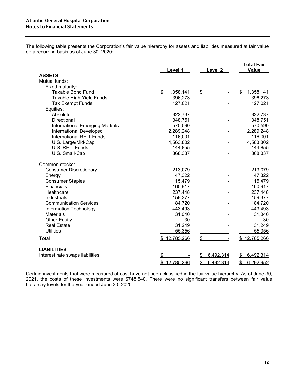The following table presents the Corporation's fair value hierarchy for assets and liabilities measured at fair value on a recurring basis as of June 30, 2020:

|                                       | Level 1         | Level 2         | <b>Total Fair</b><br><b>Value</b> |
|---------------------------------------|-----------------|-----------------|-----------------------------------|
| <b>ASSETS</b>                         |                 |                 |                                   |
| Mutual funds:                         |                 |                 |                                   |
| Fixed maturity:                       |                 |                 |                                   |
| <b>Taxable Bond Fund</b>              | \$<br>1,358,141 | \$              | 1,358,141<br>\$                   |
| Taxable High-Yield Funds              | 396,273         |                 | 396,273                           |
| <b>Tax Exempt Funds</b>               | 127,021         |                 | 127,021                           |
| Equities:                             |                 |                 |                                   |
| Absolute                              | 322,737         |                 | 322,737                           |
| Directional                           | 348,751         |                 | 348,751                           |
| <b>International Emerging Markets</b> | 570,590         |                 | 570,590                           |
| <b>International Developed</b>        | 2,289,248       |                 | 2,289,248                         |
| <b>International REIT Funds</b>       | 116,001         |                 | 116,001                           |
| U.S. Large/Mid-Cap                    | 4,563,802       |                 | 4,563,802                         |
| U.S. REIT Funds                       | 144,855         |                 | 144,855                           |
| U.S. Small-Cap                        | 868,337         |                 | 868,337                           |
| Common stocks:                        |                 |                 |                                   |
| <b>Consumer Discretionary</b>         | 213,079         |                 | 213,079                           |
| Energy                                | 47,322          |                 | 47,322                            |
| <b>Consumer Staples</b>               | 115,479         |                 | 115,479                           |
| <b>Financials</b>                     | 160,917         |                 | 160,917                           |
| Healthcare                            | 237,448         |                 | 237,448                           |
| Industrials                           | 159,377         |                 | 159,377                           |
| <b>Communication Services</b>         | 184,720         |                 | 184,720                           |
| Information Technology                | 443,493         |                 | 443,493                           |
| <b>Materials</b>                      | 31,040          |                 | 31,040                            |
| <b>Other Equity</b>                   | 30              |                 | 30                                |
| <b>Real Estate</b>                    | 31,249          |                 | 31,249                            |
| <b>Utilities</b>                      | 55,356          |                 | 55,356                            |
| Total                                 | \$12,785,266    | \$              | \$12,785,266                      |
| <b>LIABILITIES</b>                    |                 |                 |                                   |
| Interest rate swaps liabilities       | \$              | 6,492,314<br>\$ | 6,492,314<br>\$                   |
|                                       | \$12,785,266    | \$<br>6,492,314 | \$<br>6,292,952                   |

Certain investments that were measured at cost have not been classified in the fair value hierarchy. As of June 30, 2021, the costs of these investments were \$748,540. There were no significant transfers between fair value hierarchy levels for the year ended June 30, 2020.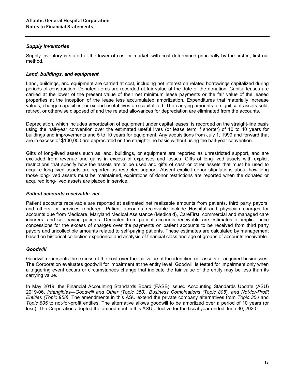#### *Supply inventories*

Supply inventory is stated at the lower of cost or market, with cost determined principally by the first-in, first-out method.

#### *Land, buildings, and equipment*

Land, buildings, and equipment are carried at cost, including net interest on related borrowings capitalized during periods of construction. Donated items are recorded at fair value at the date of the donation. Capital leases are carried at the lower of the present value of their net minimum lease payments or the fair value of the leased properties at the inception of the lease less accumulated amortization. Expenditures that materially increase values, change capacities, or extend useful lives are capitalized. The carrying amounts of significant assets sold, retired, or otherwise disposed of and the related allowances for depreciation are eliminated from the accounts.

Depreciation, which includes amortization of equipment under capital leases, is recorded on the straight-line basis using the half-year convention over the estimated useful lives (or lease term if shorter) of 10 to 40 years for buildings and improvements and 5 to 10 years for equipment. Any acquisitions from July 1, 1999 and forward that are in excess of \$100,000 are depreciated on the straight-line basis without using the half-year convention.

Gifts of long-lived assets such as land, buildings, or equipment are reported as unrestricted support, and are excluded from revenue and gains in excess of expenses and losses. Gifts of long-lived assets with explicit restrictions that specify how the assets are to be used and gifts of cash or other assets that must be used to acquire long-lived assets are reported as restricted support. Absent explicit donor stipulations about how long those long-lived assets must be maintained, expirations of donor restrictions are reported when the donated or acquired long-lived assets are placed in service.

#### *Patient accounts receivable, net*

Patient accounts receivable are reported at estimated net realizable amounts from patients, third party payors, and others for services rendered. Patient accounts receivable include Hospital and physician charges for accounts due from Medicare, Maryland Medical Assistance (Medicaid), CareFirst, commercial and managed care insurers, and self-paying patients. Deducted from patient accounts receivable are estimates of implicit price concessions for the excess of charges over the payments on patient accounts to be received from third party payors and uncollectible amounts related to self-paying patients. These estimates are calculated by management based on historical collection experience and analysis of financial class and age of groups of accounts receivable.

#### *Goodwill*

Goodwill represents the excess of the cost over the fair value of the identified net assets of acquired businesses. The Corporation evaluates goodwill for impairment at the entity level. Goodwill is tested for impairment only when a triggering event occurs or circumstances change that indicate the fair value of the entity may be less than its carrying value.

In May 2019, the Financial Accounting Standards Board (FASB) issued Accounting Standards Update (ASU) 2019-06, *Intangibles—Goodwill and Other (Topic 350), Business Combinations (Topic 805*), *and Not-for-Profit Entities (Topic 958).* The amendments in this ASU extend the private company alternatives from *Topic 350* and *Topic 805* to not-for-profit entities. The alternative allows goodwill to be amortized over a period of 10 years (or less). The Corporation adopted the amendment in this ASU effective for the fiscal year ended June 30, 2020.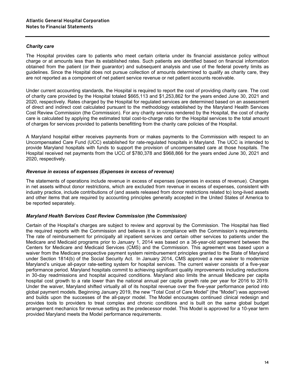#### *Charity care*

The Hospital provides care to patients who meet certain criteria under its financial assistance policy without charge or at amounts less than its established rates. Such patients are identified based on financial information obtained from the patient (or their guarantor) and subsequent analysis and use of the federal poverty limits as guidelines. Since the Hospital does not pursue collection of amounts determined to qualify as charity care, they are not reported as a component of net patient service revenue or net patient accounts receivable.

Under current accounting standards, the Hospital is required to report the cost of providing charity care. The cost of charity care provided by the Hospital totaled \$665,113 and \$1,253,862 for the years ended June 30, 2021 and 2020, respectively. Rates charged by the Hospital for regulated services are determined based on an assessment of direct and indirect cost calculated pursuant to the methodology established by the Maryland Health Services Cost Review Commission (the Commission). For any charity services rendered by the Hospital, the cost of charity care is calculated by applying the estimated total cost-to-charge ratio for the Hospital services to the total amount of charges for services provided to patients benefitting from the charity care policies of the Hospital.

A Maryland hospital either receives payments from or makes payments to the Commission with respect to an Uncompensated Care Fund (UCC) established for rate-regulated hospitals in Maryland. The UCC is intended to provide Maryland hospitals with funds to support the provision of uncompensated care at those hospitals. The Hospital received net payments from the UCC of \$780,378 and \$968,866 for the years ended June 30, 2021 and 2020, respectively.

#### *Revenue in excess of expenses (Expenses in excess of revenue)*

The statements of operations include revenue in excess of expenses (expenses in excess of revenue). Changes in net assets without donor restrictions, which are excluded from revenue in excess of expenses, consistent with industry practice, include contributions of (and assets released from donor restrictions related to) long-lived assets and other items that are required by accounting principles generally accepted in the United States of America to be reported separately.

#### *Maryland Health Services Cost Review Commission (the Commission)*

Certain of the Hospital's charges are subject to review and approval by the Commission. The Hospital has filed the required reports with the Commission and believes it is in compliance with the Commission's requirements. The rate of reimbursement for principally all inpatient services and certain other services to patients under the Medicare and Medicaid programs prior to January 1, 2014 was based on a 36-year-old agreement between the Centers for Medicare and Medicaid Services (CMS) and the Commission. This agreement was based upon a waiver from the Medicare prospective payment system reimbursement principles granted to the State of Maryland under Section 1814(b) of the Social Security Act. In January 2014, CMS approved a new waiver to modernize Maryland's unique all-payor rate-setting system for hospital services. The current waiver consists of a five-year performance period. Maryland hospitals commit to achieving significant quality improvements including reductions in 30-day readmissions and hospital acquired conditions. Maryland also limits the annual Medicare per capita hospital cost growth to a rate lower than the national annual per capita growth rate per year for 2016 to 2019. Under the waiver, Maryland shifted virtually all of its hospital revenue over the five-year performance period into global payment models. Beginning January 2019, the new "Total Cost of Care Model" (the "Model") was approved and builds upon the successes of the all-payor model. The Model encourages continued clinical redesign and provides tools to providers to treat complex and chronic conditions and is built on the same global budget arrangement mechanics for revenue setting as the predecessor model. This Model is approved for a 10-year term provided Maryland meets the Model performance requirements.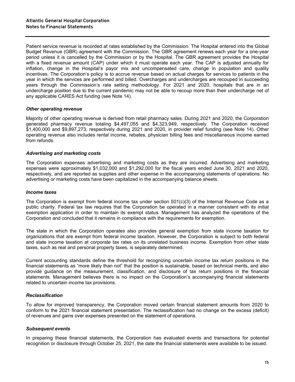Patient service revenue is recorded at rates established by the Commission. The Hospital entered into the Global Budget Revenue (GBR) agreement with the Commission. The GBR agreement renews each year for a one-year period unless it is cancelled by the Commission or by the Hospital. The GBR agreement provides the Hospital with a fixed revenue amount (CAP) under which it must operate each year. The CAP is adjusted annually for inflation, change in the Hospital's payor mix and uncompensated care, change in population and quality incentives. The Corporation's policy is to accrue revenue based on actual charges for services to patients in the year in which the services are performed and billed. Overcharges and undercharges are recouped in succeeding years through the Commission's rate setting methodology. For 2021 and 2020, hospitals that are in an undercharge position due to the current pandemic may not be able to recoup more than their undercharge net of any applicable CARES Act funding (see Note 14).

#### *Other operating revenue*

Majority of other operating revenue is derived from retail pharmacy sales. During 2021 and 2020, the Corporation generated pharmacy revenue totaling \$4,497,055 and \$4,323,949, respectively. The Corporation received \$1,400,000 and \$9,897,273, respectively during 2021 and 2020, in provider relief funding (see Note 14). Other operating revenue also includes rental income, rebates, physician billing fees and miscellaneous income earned from refunds.

#### *Advertising and marketing costs*

The Corporation expenses advertising and marketing costs as they are incurred. Advertising and marketing expenses were approximately \$1,032,000 and \$1,292,000 for the fiscal years ended June 30, 2021 and 2020, respectively, and are reported as supplies and other expense in the accompanying statements of operations. No advertising or marketing costs have been capitalized in the accompanying balance sheets.

#### *Income taxes*

The Corporation is exempt from federal income tax under section 501(c)(3) of the Internal Revenue Code as a public charity. Federal tax law requires that the Corporation be operated in a manner consistent with its initial exemption application in order to maintain its exempt status. Management has analyzed the operations of the Corporation and concluded that it remains in compliance with the requirements for exemption.

The state in which the Corporation operates also provides general exemption from state income taxation for organizations that are exempt from federal income taxation. However, the Corporation is subject to both federal and state income taxation at corporate tax rates on its unrelated business income. Exemption from other state taxes, such as real and personal property taxes, is separately determined.

Current accounting standards define the threshold for recognizing uncertain income tax return positions in the financial statements as "more likely than not" that the position is sustainable, based on technical merits, and also provide guidance on the measurement, classification, and disclosure of tax return positions in the financial statements. Management believes there is no impact on the Corporation's accompanying financial statements related to uncertain income tax provisions.

#### *Reclassification*

To allow for improved transparency, the Corporation moved certain financial statement amounts from 2020 to conform to the 2021 financial statement presentation. The reclassification had no change on the excess (deficit) of revenues and gains over expenses presented on the statement of operations.

#### *Subsequent events*

In preparing these financial statements, the Corporation has evaluated events and transactions for potential recognition or disclosure through October 25, 2021, the date the financial statements were available to be issued.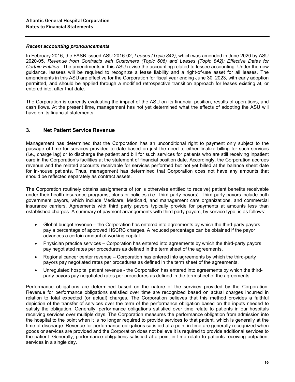#### *Recent accounting pronouncements*

In February 2016, the FASB issued ASU 2016-02, *Leases (Topic 842)*, which was amended in June 2020 by ASU 2020-05, *Revenue from Contracts with Customers (Topic 606) and Leases (Topic 842): Effective Dates for Certain Entities.* The amendments in this ASU revise the accounting related to lessee accounting. Under the new guidance, lessees will be required to recognize a lease liability and a right-of-use asset for all leases. The amendments in this ASU are effective for the Corporation for fiscal year ending June 30, 2023, with early adoption permitted, and should be applied through a modified retrospective transition approach for leases existing at, or entered into, after that date.

The Corporation is currently evaluating the impact of the ASU on its financial position, results of operations, and cash flows. At the present time, management has not yet determined what the effects of adopting the ASU will have on its financial statements.

# **3. Net Patient Service Revenue**

Management has determined that the Corporation has an unconditional right to payment only subject to the passage of time for services provided to date based on just the need to either finalize billing for such services (i.e., charge lag) or to discharge the patient and bill for such services for patients who are still receiving inpatient care in the Corporation's facilities at the statement of financial position date. Accordingly, the Corporation accrues revenue and the related accounts receivable for services performed but not yet billed at the balance sheet date for in-house patients. Thus, management has determined that Corporation does not have any amounts that should be reflected separately as contract assets.

The Corporation routinely obtains assignments of (or is otherwise entitled to receive) patient benefits receivable under their health insurance programs, plans or policies (i.e., third-party payors). Third party payors include both government payors, which include Medicare, Medicaid, and management care organizations, and commercial insurance carriers. Agreements with third party payors typically provide for payments at amounts less than established charges. A summary of payment arrangements with third party payors, by service type, is as follows:

- Global budget revenue the Corporation has entered into agreements by which the third-party payors pay a percentage of approved HSCRC charges. A reduced percentage can be obtained if the payor advances a certain amount of working capital.
- Physician practice services Corporation has entered into agreements by which the third-party payors pay negotiated rates per procedures as defined in the term sheet of the agreements.
- Regional cancer center revenue Corporation has entered into agreements by which the third-party payors pay negotiated rates per procedures as defined in the term sheet of the agreements.
- Unregulated hospital patient revenue the Corporation has entered into agreements by which the thirdparty payors pay negotiated rates per procedures as defined in the term sheet of the agreements.

Performance obligations are determined based on the nature of the services provided by the Corporation. Revenue for performance obligations satisfied over time are recognized based on actual charges incurred in relation to total expected (or actual) charges. The Corporation believes that this method provides a faithful depiction of the transfer of services over the term of the performance obligation based on the inputs needed to satisfy the obligation. Generally, performance obligations satisfied over time relate to patients in our hospitals receiving services over multiple days. The Corporation measures the performance obligation from admission into the hospital to the point when it is no longer required to provide services to that patient, which is generally at the time of discharge. Revenue for performance obligations satisfied at a point in time are generally recognized when goods or services are provided and the Corporation does not believe it is required to provide additional services to the patient. Generally, performance obligations satisfied at a point in time relate to patients receiving outpatient services in a single day.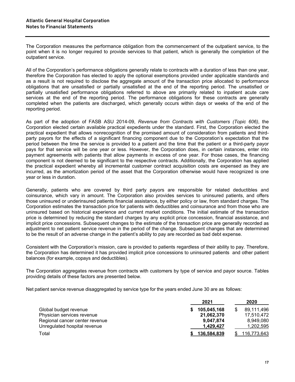The Corporation measures the performance obligation from the commencement of the outpatient service, to the point when it is no longer required to provide services to that patient, which is generally the completion of the outpatient service.

All of the Corporation's performance obligations generally relate to contracts with a duration of less than one year, therefore the Corporation has elected to apply the optional exemptions provided under applicable standards and as a result is not required to disclose the aggregate amount of the transaction price allocated to performance obligations that are unsatisfied or partially unsatisfied at the end of the reporting period. The unsatisfied or partially unsatisfied performance obligations referred to above are primarily related to inpatient acute care services at the end of the reporting period. The performance obligations for these contracts are generally completed when the patients are discharged, which generally occurs within days or weeks of the end of the reporting period.

As part of the adoption of FASB ASU 2014-09, *Revenue from Contracts with Customers (Topic 606)*, the Corporation elected certain available practical expedients under the standard. First, the Corporation elected the practical expedient that allows nonrecognition of the promised amount of consideration from patients and thirdparty payors for the effects of a significant financing component due to the Corporation's expectation that the period between the time the service is provided to a patient and the time that the patient or a third-party payor pays for that service will be one year or less. However, the Corporation does, in certain instances, enter into payment agreements with patients that allow payments in excess of one year. For those cases, the financing component is not deemed to be significant to the respective contracts. Additionally, the Corporation has applied the practical expedient whereby all incremental customer contract acquisition costs are expensed as they are incurred, as the amortization period of the asset that the Corporation otherwise would have recognized is one year or less in duration.

Generally, patients who are covered by third party payors are responsible for related deductibles and coinsurance, which vary in amount. The Corporation also provides services to uninsured patients, and offers those uninsured or underinsured patients financial assistance, by either policy or law, from standard charges. The Corporation estimates the transaction price for patients with deductibles and coinsurance and from those who are uninsured based on historical experience and current market conditions. The initial estimate of the transaction price is determined by reducing the standard charges by any explicit price concession, financial assistance, and implicit price concessions. Subsequent changes to the estimate of the transaction price are generally recorded as adjustment to net patient service revenue in the period of the change. Subsequent changes that are determined to be the result of an adverse change in the patient's ability to pay are recorded as bad debt expense.

Consistent with the Corporation's mission, care is provided to patients regardless of their ability to pay. Therefore, the Corporation has determined it has provided implicit price concessions to uninsured patients and other patient balances (for example, copays and deductibles).

The Corporation aggregates revenue from contracts with customers by type of service and payor source. Tables providing details of these factors are presented below.

Net patient service revenue disaggregated by service type for the years ended June 30 are as follows:

|                                | 2021        | 2020               |
|--------------------------------|-------------|--------------------|
| Global budget revenue          | 105,045,168 | 89,111,496         |
| Physician services revenue     | 21,062,370  | 17,510,472         |
| Regional cancer center revenue | 9,047,874   | 8.949.080          |
| Unregulated hospital revenue   | 1.429.427   | 1,202,595          |
| Total                          | 136.584.839 | <u>116,773,643</u> |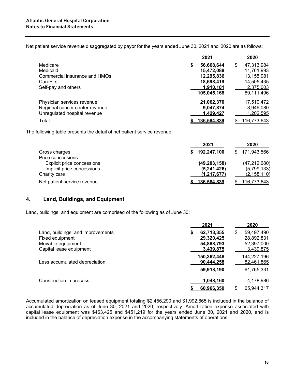Net patient service revenue disaggregated by payor for the years ended June 30, 2021 and 2020 are as follows:

|                                | 2021               |    | 2020        |
|--------------------------------|--------------------|----|-------------|
| Medicare                       | 56,668,644<br>S    | \$ | 47,313,984  |
| Medicaid                       | 15,472,088         |    | 11,761,993  |
| Commercial insurance and HMOs  | 12,295,836         |    | 13,155,081  |
| CareFirst                      | 18,698,419         |    | 14,505,435  |
| Self-pay and others            | 1,910,181          |    | 2,375,003   |
|                                | 105,045,168        |    | 89,111,496  |
| Physician services revenue     | 21,062,370         |    | 17,510,472  |
| Regional cancer center revenue | 9,047,874          |    | 8,949,080   |
| Unregulated hospital revenue   | 1,429,427          |    | 1,202,595   |
| Total                          | <u>136.584.839</u> | S  | 116,773,643 |

The following table presents the detail of net patient service revenue:

|                             | 2021               | 2020           |
|-----------------------------|--------------------|----------------|
| Gross charges               | 192,247,100        | \$171,943,566  |
| Price concessions           |                    |                |
| Explicit price concessions  | (49, 203, 158)     | (47, 212, 680) |
| Implicit price concessions  | (5,241,426)        | (5,799,133)    |
| Charity care                | (1, 217, 677)      | (2, 158, 110)  |
| Net patient service revenue | <u>136.584.839</u> | 116,773,643    |

# **4. Land, Buildings, and Equipment**

Land, buildings, and equipment are comprised of the following as of June 30:

|                                   | 2021        |            | 2020             |
|-----------------------------------|-------------|------------|------------------|
| Land, buildings, and improvements | S           | 62,713,355 | 59,497,490<br>\$ |
| Fixed equipment                   |             | 29,320,425 | 28,892,831       |
| Movable equipment                 |             | 54,888,793 | 52,397,000       |
| Capital lease equipment           |             | 3,439,875  | 3,439,875        |
|                                   | 150,362,448 |            | 144,227,196      |
| Less accumulated depreciation     |             | 90,444,258 | 82,461,865       |
|                                   |             | 59,918,190 | 61,765,331       |
| Construction in process           |             | 1,048,160  | 4,178,986        |
|                                   |             | 60.966.350 | 65,944,317<br>S  |

Accumulated amortization on leased equipment totaling \$2,456,290 and \$1,992,865 is included in the balance of accumulated depreciation as of June 30, 2021 and 2020, respectively. Amortization expense associated with capital lease equipment was \$463,425 and \$451,219 for the years ended June 30, 2021 and 2020, and is included in the balance of depreciation expense in the accompanying statements of operations.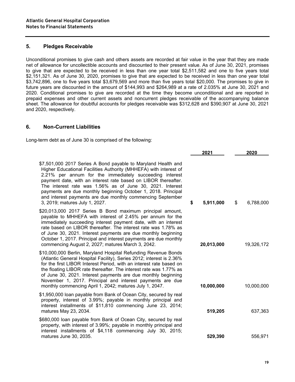# **5. Pledges Receivable**

Unconditional promises to give cash and others assets are recorded at fair value in the year that they are made net of allowance for uncollectible accounts and discounted to their present value. As of June 30, 2021, promises to give that are expected to be received in less than one year total \$2,511,582 and one to five years total \$2,151,321. As of June 30, 2020, promises to give that are expected to be received in less than one year total \$3,742,896, one to five years total \$3,679,569 and more than five years total \$20,000. The promises to give in future years are discounted in the amount of \$144,993 and \$264,989 at a rate of 2.035% at June 30, 2021 and 2020. Conditional promises to give are recorded at the time they become unconditional and are reported in prepaid expenses and other current assets and noncurrent pledges receivable of the accompanying balance sheet. The allowance for doubtful accounts for pledges receivable was \$312,628 and \$390,907 at June 30, 2021 and 2020, respectively.

### **6. Non-Current Liabilities**

Long-term debt as of June 30 is comprised of the following:

|                                                                                                                                                                                                                                                                                                                                                                                                                                                                                               | 2021            | 2020            |
|-----------------------------------------------------------------------------------------------------------------------------------------------------------------------------------------------------------------------------------------------------------------------------------------------------------------------------------------------------------------------------------------------------------------------------------------------------------------------------------------------|-----------------|-----------------|
| \$7,501,000 2017 Series A Bond payable to Maryland Health and<br>Higher Educational Facilities Authority (MHHEFA) with interest of<br>2.21% per annum for the immediately succeeding interest<br>payment date, with an interest rate based on LIBOR thereafter.<br>The interest rate was 1.56% as of June 30, 2021. Interest<br>payments are due monthly beginning October 1, 2018. Principal<br>and interest payments are due monthly commencing September<br>3, 2019; matures July 1, 2027. | \$<br>5,911,000 | \$<br>6,788,000 |
| \$20,013,000 2017 Series B Bond maximum principal amount,<br>payable to MHHEFA with interest of 2.45% per annum for the<br>immediately succeeding interest payment date, with an interest<br>rate based on LIBOR thereafter. The interest rate was 1.78% as<br>of June 30, 2021. Interest payments are due monthly beginning<br>October 1, 2017. Principal and interest payments are due monthly<br>commencing August 2, 2027; matures March 3, 2042.                                         | 20,013,000      | 19,326,172      |
| \$10,000,000 Berlin, Maryland Hospital Refunding Revenue Bonds<br>(Atlantic General Hospital Facility), Series 2012; interest is 2.36%<br>for the first LIBOR Interest Period, with an interest rate based on<br>the floating LIBOR rate thereafter. The interest rate was 1.77% as<br>of June 30, 2021. Interest payments are due monthly beginning<br>November 1, 2017. Principal and interest payments are due<br>monthly commencing April 1, 2042; matures July 1, 2047.                  | 10,000,000      | 10,000,000      |
| \$1,950,000 loan payable from Bank of Ocean City, secured by real<br>property, interest of 3.99%; payable in monthly principal and<br>interest installments of \$11,810 commencing June 23, 2014;<br>matures May 23, 2034.                                                                                                                                                                                                                                                                    | 519,205         | 637,363         |
| \$680,000 loan payable from Bank of Ocean City, secured by real<br>property, with interest of 3.99%; payable in monthly principal and<br>interest installments of \$4,118 commencing July 30, 2015;<br>matures June 30, 2035.                                                                                                                                                                                                                                                                 | 529,390         | 556,971         |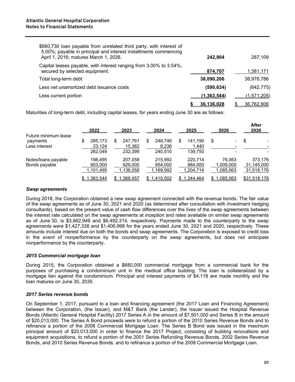| \$660,730 loan payable from unrelated third party; with interest of<br>5.00%; payable in principal and interest installments commencing<br>April 1, 2016; matures March 1, 2026. | 242.904           | 287,109     |
|----------------------------------------------------------------------------------------------------------------------------------------------------------------------------------|-------------------|-------------|
| Capital leases payable, with interest ranging from 3.00% to 3.54%,<br>secured by selected equipment.                                                                             | 874,707           | 1,381,171   |
| Total long-term debt                                                                                                                                                             | 38,090,206        | 38,976,786  |
| Less net unamortized debt issuance costs                                                                                                                                         | (590,634)         | (642, 775)  |
| Less current portion                                                                                                                                                             | (1, 363, 544)     | (1,571,205) |
|                                                                                                                                                                                  | <u>36.136.028</u> | 36,762,806  |

Maturities of long-term debt, including capital leases, for years ending June 30 are as follows:

|                                                   |   | 2022                 | 2023                 |   | 2024                 | 2025                 | 2026                   |   | <b>After</b><br>2026     |
|---------------------------------------------------|---|----------------------|----------------------|---|----------------------|----------------------|------------------------|---|--------------------------|
| Future minimum lease<br>payments<br>Less interest | S | 285.173<br>23,124    | 247.761<br>15,362    | S | 248,746<br>8,236     | 141.190<br>1,440     | \$<br>۰.<br>۰          | D |                          |
| Notes/loans payable                               |   | 262.049<br>198.495   | 232.399<br>207.058   |   | 240.510<br>215.992   | 139,750<br>220.714   | 76.063                 |   | 373,176                  |
| Bonds payable                                     |   | 903,000<br>1,101,495 | 929,000<br>1,136,058 |   | 954.000<br>1,169,992 | 984.000<br>1,204,714 | 1.009.000<br>1,085,063 |   | 31,145,000<br>31,518,176 |
|                                                   |   | 1,363,544            | <u>1,368,457</u>     |   | 1,410,502            | 1,344,464            | 085,063.               |   | \$31,518,176             |

#### *Swap agreements*

During 2018, the Corporation obtained a new swap agreement connected with the revenue bonds. The fair value of the swap agreements as of June 30, 2021 and 2020 (as determined after consultation with investment hedging consultants), based on the present value of cash flow differences over the lives of the swap agreements between the interest rate calculated on the swap agreements at inception and rates available on similar swap agreements as of June 30, is \$3,662,949 and \$6,492,314, respectively. Payments made to the counterparty to the swap agreements were \$1,427,338 and \$1,406,998 for the years ended June 30, 2021 and 2020, respectively. These amounts include interest due on both the bonds and swap agreements. The Corporation is exposed to credit loss in the event of nonperformance by the counterparty on the swap agreements, but does not anticipate nonperformance by the counterparty.

#### *2015 Commercial mortgage loan*

During 2015, the Corporation obtained a \$680,000 commercial mortgage from a commercial bank for the purposes of purchasing a condominium unit in the medical office building. The loan is collateralized by a mortgage lien against the condominium. Principal and interest payments of \$4,118 are made monthly and the loan matures on June 30, 2035.

#### *2017 Series revenue bonds*

On September 1, 2017, pursuant to a loan and financing agreement (the 2017 Loan and Financing Agreement) between the Corporation, (the Issuer), and M&T Bank (the Lender), the Issuer issued the Hospital Revenue Bonds (Atlantic General Hospital Facility) 2017 Series A in the amount of \$7,501,000 and Series B in the amount of \$20,013,000. The Series A Bond proceeds were to refund a portion of the 2010 Series Revenue Bonds and to refinance a portion of the 2008 Commercial Mortgage Loan. The Series B Bond was issued in the maximum principal amount of \$20,013,000 in order to finance the 2017 Project, consisting of building renovations and equipment acquisitions, to refund a portion of the 2001 Series Refunding Revenue Bonds, 2002 Series Revenue Bonds, and 2010 Series Revenue Bonds, and to refinance a portion of the 2008 Commercial Mortgage Loan.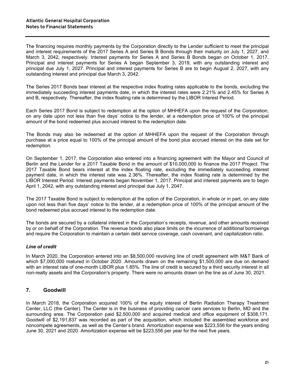The financing requires monthly payments by the Corporation directly to the Lender sufficient to meet the principal and interest requirements of the 2017 Series A and Series B Bonds through their maturity on July 1, 2027, and March 3, 2042, respectively. Interest payments for Series A and Series B Bonds began on October 1, 2017. Principal and interest payments for Series A began September 3, 2019, with any outstanding interest and principal due July 1, 2027. Principal and interest payments for Series B are to begin August 2, 2027, with any outstanding interest and principal due March 3, 2042.

The Series 2017 Bonds bear interest at the respective index floating rates applicable to the bonds, excluding the immediately succeeding interest payments date, in which the interest rates were 2.21% and 2.45% for Series A and B, respectively. Thereafter, the index floating rate is determined by the LIBOR Interest Period.

Each Series 2017 Bond is subject to redemption at the option of MHHEFA upon the request of the Corporation, on any date upon not less than five days' notice to the lender, at a redemption price of 100% of the principal amount of the bond redeemed plus accrued interest to the redemption date.

The Bonds may also be redeemed at the option of MHHEFA upon the request of the Corporation through purchase at a price equal to 100% of the principal amount of the bond plus accrued interest on the date set for redemption.

On September 1, 2017, the Corporation also entered into a financing agreement with the Mayor and Council of Berlin and the Lender for a 2017 Taxable Bond in the amount of \$10,000,000 to finance the 2017 Project. The 2017 Taxable Bond bears interest at the index floating rate, excluding the immediately succeeding interest payment date, in which the interest rate was 2.36%. Thereafter, the index floating rate is determined by the LIBOR Interest Period. Interest payments began November 1, 2017. Principal and interest payments are to begin April 1, 2042, with any outstanding interest and principal due July 1, 2047.

The 2017 Taxable Bond is subject to redemption at the option of the Corporation, in whole or in part, on any date upon not less than five days' notice to the lender, at a redemption price of 100% of the principal amount of the bond redeemed plus accrued interest to the redemption date.

The bonds are secured by a collateral interest in the Corporation's receipts, revenue, and other amounts received by or on behalf of the Corporation. The revenue bonds also place limits on the incurrence of additional borrowings and require the Corporation to maintain a certain debt service coverage, cash covenant, and capitalization ratio.

#### *Line of credit*

In March 2020, the Corporation entered into an \$8,500,000 revolving line of credit agreement with M&T Bank of which \$7,000,000 matured in October 2020. Amounts drawn on the remaining \$1,500,000 are due on demand with an interest rate of one-month LIBOR plus 1.85%. The line of credit is secured by a third security interest in all non-realty assets and the Corporation's property. There were no amounts drawn on the line as of June 30, 2021.

# **7. Goodwill**

In March 2018, the Corporation acquired 100% of the equity interest of Berlin Radiation Therapy Treatment Center, LLC (the Center). The Center is in the business of providing cancer care services to Berlin, MD and the surrounding area. The Corporation paid \$2,500,000 and acquired medical and office equipment of \$308,171. Goodwill of \$2,191,837 was recorded as part of the acquisition, which included the assembled workforce and noncompete agreements, as well as the Center's brand. Amortization expense was \$223,556 for the years ending June 30, 2021 and 2020. Amortization expense will be \$223,556 per year for the next five years.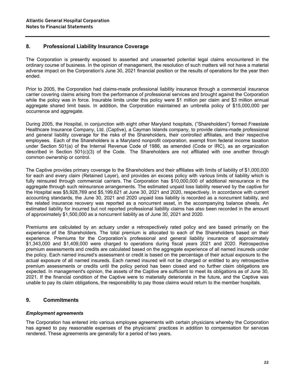# **8. Professional Liability Insurance Coverage**

The Corporation is presently exposed to asserted and unasserted potential legal claims encountered in the ordinary course of business. In the opinion of management, the resolution of such matters will not have a material adverse impact on the Corporation's June 30, 2021 financial position or the results of operations for the year then ended.

Prior to 2005, the Corporation had claims-made professional liability insurance through a commercial insurance carrier covering claims arising from the performance of professional services and brought against the Corporation while the policy was in force. Insurable limits under this policy were \$1 million per claim and \$3 million annual aggregate shared limit basis. In addition, the Corporation maintained an umbrella policy of \$15,000,000 per occurrence and aggregate.

During 2005, the Hospital, in conjunction with eight other Maryland hospitals, ("Shareholders") formed Freestate Healthcare Insurance Company, Ltd. (Captive), a Cayman Islands company, to provide claims-made professional and general liability coverage for the risks of the Shareholders, their controlled affiliates, and their respective employees. Each of the Shareholders is a Maryland nonprofit corporation, exempt from federal income taxation under Section 501(a) of the Internal Revenue Code of 1986, as amended (Code or IRC), as an organization described in Section 501(c)(3) of the Code. The Shareholders are not affiliated with one another through common ownership or control.

The Captive provides primary coverage to the Shareholders and their affiliates with limits of liability of \$1,000,000 for each and every claim (Retained Layer), and provides an excess policy with various limits of liability which is fully reinsured through commercial carriers. The Corporation has \$10,000,000 of additional reinsurance in the aggregate through such reinsurance arrangements. The estimated unpaid loss liability reserved by the captive for the Hospital was \$5,928,769 and \$5,199,621 at June 30, 2021 and 2020, respectively. In accordance with current accounting standards, the June 30, 2021 and 2020 unpaid loss liability is recorded as a noncurrent liability, and the related insurance recovery was reported as a noncurrent asset, in the accompanying balance sheets. An estimated liability for incurred but not reported professional liability claims has also been recorded in the amount of approximately \$1,500,000 as a noncurrent liability as of June 30, 2021 and 2020.

Premiums are calculated by an actuary under a retrospectively rated policy and are based primarily on the experience of the Shareholders. The total premium is allocated to each of the Shareholders based on their experience. Premiums for the Corporation's professional and general liability insurance of approximately \$1,343,000 and \$1,409,000 were charged to operations during fiscal years 2021 and 2020. Retrospective premium assessments and credits are calculated based on the aggregate experience of all named insureds under the policy. Each named insured's assessment or credit is based on the percentage of their actual exposure to the actual exposure of all named insureds. Each named insured will not be charged or entitled to any retrospective premium assessments or credits until the policy period has been closed and no further claim obligations are expected. In management's opinion, the assets of the Captive are sufficient to meet its obligations as of June 30, 2021. If the financial condition of the Captive were to materially deteriorate in the future, and the Captive was unable to pay its claim obligations, the responsibility to pay those claims would return to the member hospitals.

#### **9. Commitments**

#### *Employment agreements*

The Corporation has entered into various employee agreements with certain physicians whereby the Corporation has agreed to pay reasonable expenses of the physicians' practices in addition to compensation for services rendered. These agreements are generally for a period of two years.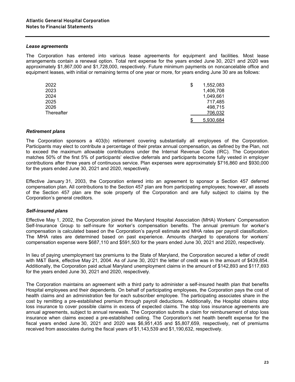#### *Lease agreements*

The Corporation has entered into various lease agreements for equipment and facilities. Most lease arrangements contain a renewal option. Total rent expense for the years ended June 30, 2021 and 2020 was approximately \$1,867,000 and \$1,728,000, respectively. Future minimum payments on noncancelable office and equipment leases, with initial or remaining terms of one year or more, for years ending June 30 are as follows:

| 2022       | \$<br>1,552,083 |
|------------|-----------------|
| 2023       | 1,406,708       |
| 2024       | 1,049,661       |
| 2025       | 717,485         |
| 2026       | 498,715         |
| Thereafter | 706,032         |
|            | 5,930,684       |

#### *Retirement plans*

The Corporation sponsors a 403(b) retirement covering substantially all employees of the Corporation. Participants may elect to contribute a percentage of their pretax annual compensation, as defined by the Plan, not to exceed the maximum allowable contributions under the Internal Revenue Code (IRC). The Corporation matches 50% of the first 5% of participants' elective deferrals and participants become fully vested in employer contributions after three years of continuous service. Plan expenses were approximately \$716,860 and \$930,000 for the years ended June 30, 2021 and 2020, respectively.

Effective January 31, 2003, the Corporation entered into an agreement to sponsor a Section 457 deferred compensation plan. All contributions to the Section 457 plan are from participating employees; however, all assets of the Section 457 plan are the sole property of the Corporation and are fully subject to claims by the Corporation's general creditors.

#### *Self-insured plans*

Effective May 1, 2002, the Corporation joined the Maryland Hospital Association (MHA) Workers' Compensation Self-Insurance Group to self-insure for worker's compensation benefits. The annual premium for worker's compensation is calculated based on the Corporation's payroll estimate and MHA rates per payroll classification. The MHA rates are determined based on past experience. Amounts charged to operations for workers' compensation expense were \$687,110 and \$591,503 for the years ended June 30, 2021 and 2020, respectively.

In lieu of paying unemployment tax premiums to the State of Maryland, the Corporation secured a letter of credit with M&T Bank, effective May 21, 2004. As of June 30, 2021 the letter of credit was in the amount of \$439,854. Additionally, the Corporation paid actual Maryland unemployment claims in the amount of \$142,893 and \$117,693 for the years ended June 30, 2021 and 2020, respectively.

The Corporation maintains an agreement with a third party to administer a self-insured health plan that benefits Hospital employees and their dependents. On behalf of participating employees, the Corporation pays the cost of health claims and an administration fee for each subscriber employee. The participating associates share in the cost by remitting a pre-established premium through payroll deductions. Additionally, the Hospital obtains stop loss insurance to cover possible claims in excess of expected claims. The stop loss insurance agreements are annual agreements, subject to annual renewals. The Corporation submits a claim for reimbursement of stop loss insurance when claims exceed a pre-established ceiling. The Corporation's net health benefit expense for the fiscal years ended June 30, 2021 and 2020 was \$6,951,435 and \$5,807,659, respectively, net of premiums received from associates during the fiscal years of \$1,143,539 and \$1,190,632, respectively.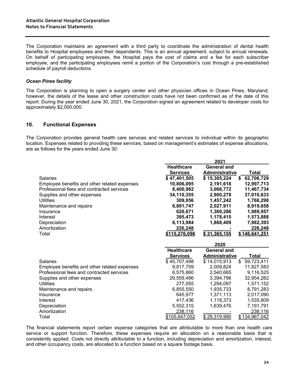The Corporation maintains an agreement with a third party to coordinate the administration of dental health benefits to Hospital employees and their dependents. This is an annual agreement, subject to annual renewals. On behalf of participating employees, the Hospital pays the cost of claims and a fee for each subscriber employee, and the participating employees remit a portion of the Corporation's cost through a pre-established schedule of payroll deductions.

#### *Ocean Pines facility*

The Corporation is planning to open a surgery center and other physician offices in Ocean Pines, Maryland; however, the details of the lease and other construction costs have not been confirmed as of the date of this report. During the year ended June 30, 2021, the Corporation signed an agreement related to developer costs for approximately \$2,000,000.

# **10. Functional Expenses**

The Corporation provides general health care services and related services to individual within its geographic location. Expenses related to providing these services, based on management's estimates of expense allocations, are as follows for the years ended June 30:

|                                              |                   | 2021                  |                          |
|----------------------------------------------|-------------------|-----------------------|--------------------------|
|                                              | <b>Healthcare</b> | <b>General and</b>    |                          |
|                                              | <b>Services</b>   | <b>Administrative</b> | Total                    |
| <b>Salaries</b>                              | \$47,401,505      | \$15,305,224          | 62,706,729<br>\$         |
| Employee benefits and other related expenses | 10,806,095        | 2,191,618             | 12,997,713               |
| Professional fees and contracted services    | 8,400,962         | 3,066,772             | 11,467,734               |
| Supplies and other expenses                  | 34,110,355        | 2,900,278             | 37,010,633               |
| <b>Utilities</b>                             | 309,056           | 1,457,242             | 1,766,298                |
| Maintenance and repairs                      | 6,891,747         | 2,027,911             | 8,919,658                |
| Insurance                                    | 620,671           | 1,369,286             | 1,989,957                |
| Interest                                     | 395,473           | 1,178,415             | 1,573,888                |
| Depreciation                                 | 6,113,984         | 1,868,409             | 7,982,393                |
| Amortization                                 | 226,248           |                       | 226,248                  |
| Total                                        | \$115,276,096     | \$31.365.155          | \$146,641,251            |
|                                              |                   | 2020                  |                          |
|                                              | <b>Healthcare</b> | <b>General and</b>    |                          |
|                                              | <b>Services</b>   | <b>Administrative</b> | <b>Total</b>             |
| <b>Salaries</b>                              | \$45,707,498      | \$14,015,913          | 59,723,411<br>\$         |
| Employee benefits and other related expenses | 9,817,759         | 2,009,824             | 11,827,583               |
| Professional fees and contracted services    | 6,575,860         | 2,540,665             | 9,116,525                |
| Supplies and other expenses                  | 29,559,486        | 3,394,796             | 32,954,282               |
| Utilities                                    | 277,055           | 1,294,097             | 1,571,152                |
| Maintenance and repairs                      | 6,855,550         | 1,935,733             | 8,791,283                |
| Insurance                                    | 645,977           | 1,371,113             | 2,017,090                |
| Interest                                     | 417,436           | 1,118,373             | 1,535,809                |
| Depreciation                                 |                   | 1,639,476             | 7,191,791                |
|                                              | 5,552,315         |                       |                          |
| Amortization                                 | 238,116           |                       | 238,116<br>\$134,967,042 |

The financial statements report certain expense categories that are attributable to more than one health care service or support function. Therefore, these expenses require an allocation on a reasonable basis that is consistently applied. Costs not directly attributable to a function, including depreciation and amortization, interest, and other occupancy costs, are allocated to a function based on a square footage basis.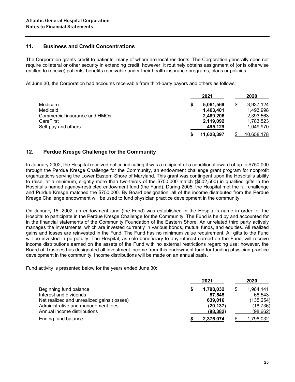# **11. Business and Credit Concentrations**

The Corporation grants credit to patients, many of whom are local residents. The Corporation generally does not require collateral or other security in extending credit; however, it routinely obtains assignment of (or is otherwise entitled to receive) patients' benefits receivable under their health insurance programs, plans or policies.

At June 30, the Corporation had accounts receivable from third-party payors and others as follows:

|                               | 2021              | 2020              |
|-------------------------------|-------------------|-------------------|
| Medicare                      | 5,061,569         | \$<br>3,937,124   |
| Medicaid                      | 1,463,401         | 1,493,998         |
| Commercial insurance and HMOs | 2,489,206         | 2,393,563         |
| CareFirst                     | 2,119,092         | 1,783,523         |
| Self-pay and others           | 495,129           | 1,049,970         |
|                               | <u>11.628.397</u> | <u>10,658,178</u> |

### **12. Perdue Kresge Challenge for the Community**

In January 2002, the Hospital received notice indicating it was a recipient of a conditional award of up to \$750,000 through the Perdue Kresge Challenge for the Community, an endowment challenge grant program for nonprofit organizations serving the Lower Eastern Shore of Maryland. This grant was contingent upon the Hospital's ability to raise, at a minimum, slightly more than two-thirds of the \$750,000 match (\$502,500) in qualified gifts in the Hospital's named agency-restricted endowment fund (the Fund). During 2005, the Hospital met the full challenge and Purdue Kresge matched the \$750,000. By Board designation, all of the income distributed from the Perdue Kresge Challenge endowment will be used to fund physician practice development in the community.

On January 15, 2002, an endowment fund (the Fund) was established in the Hospital's name in order for the Hospital to participate in the Perdue Kresge Challenge for the Community. The Fund is held by and accounted for in the financial statements of the Community Foundation of the Eastern Shore. An unrelated third party actively manages the investments, which are invested currently in various bonds, mutual funds, and equities. All realized gains and losses are reinvested in the Fund. The Fund has no minimum value requirement. All gifts to the Fund will be invested in perpetuity. The Hospital, as sole beneficiary to any interest earned on the Fund, will receive income distributions earned on the assets of the Fund with no external restrictions regarding use; however, the Board of Trustees has designated all investment income from this endowment fund for funding physician practice development in the community. Income distributions will be made on an annual basis.

Fund activity is presented below for the years ended June 30:

|                                            | 2021      | 2020            |
|--------------------------------------------|-----------|-----------------|
| Beginning fund balance                     | 1,798,032 | \$<br>1,984,141 |
| Interest and dividends                     | 57.545    | 66.543          |
| Net realized and unrealized gains (losses) | 639,016   | (135, 254)      |
| Administrative and management fees         | (20, 137) | (18, 736)       |
| Annual income distributions                | (98, 382) | (98, 662)       |
| Ending fund balance                        | 2.376.074 | 1,798,032       |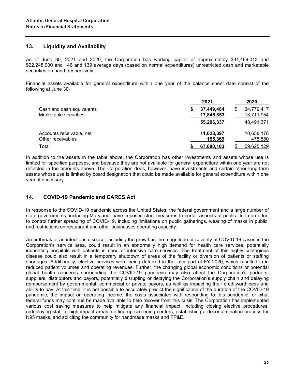### **13. Liquidity and Availability**

As of June 30, 2021 and 2020, the Corporation has working capital of approximately \$31,469,013 and \$22,248,000 and 146 and 139 average days (based on normal expenditures) unrestricted cash and marketable securities on hand, respectively.

Financial assets available for general expenditure within one year of the balance sheet date consist of the following at June 30:

|                           | 2021       | 2020            |
|---------------------------|------------|-----------------|
| Cash and cash equivalents | 37,449,484 | 34,779,417<br>S |
| Marketable securities     | 17,846,853 | 13,711,954      |
|                           | 55,296,337 | 48,491,371      |
| Accounts receivable, net  | 11,628,397 | 10,658,178      |
| Other receivables         | 155,369    | 475,580         |
| Total                     | 67.080.103 | 59,625,129      |

In addition to the assets in the table above, the Corporation has other investments and assets whose use is limited for specified purposes, and because they are not available for general expenditure within one year are not reflected in the amounts above. The Corporation does, however, have investments and certain other long-term assets whose use is limited by board designation that could be made available for general expenditure within one year, if necessary.

# **14. COVID-19 Pandemic and CARES Act**

In response to the COVID-19 pandemic across the United States, the federal government and a large number of state governments, including Maryland, have imposed strict measures to curtail aspects of public life in an effort to control further spreading of COVID-19, including limitations on public gatherings, wearing of masks in public, and restrictions on restaurant and other businesses operating capacity.

An outbreak of an infectious disease, including the growth in the magnitude or severity of COVID-19 cases in the Corporation's service area, could result in an abnormally high demand for health care services, potentially inundating hospitals with patients in need of intensive care services. The treatment of this highly contagious disease could also result in a temporary shutdown of areas of the facility or diversion of patients or staffing shortages. Additionally, elective services were being deferred in the later part of FY 2020, which resulted in in reduced patient volumes and operating revenues. Further, the changing global economic conditions or potential global health concerns surrounding the COVID-19 pandemic may also affect the Corporation's partners, suppliers, distributors and payors, potentially disrupting or delaying the Corporation's supply chain and delaying reimbursement by governmental, commercial or private payors, as well as impacting their creditworthiness and ability to pay. At this time, it is not possible to accurately predict the significance of the duration of the COVID-19 pandemic, the impact on operating income, the costs associated with responding to this pandemic, or what federal funds may continue be made available to help recover from this crisis. The Corporation has implemented various cost saving measures to help mitigate any financial impact, including closing elective procedures, redeploying staff to high impact areas, setting up screening centers, establishing a decontamination process for N95 masks, and soliciting the community for handmade masks and PP&E.